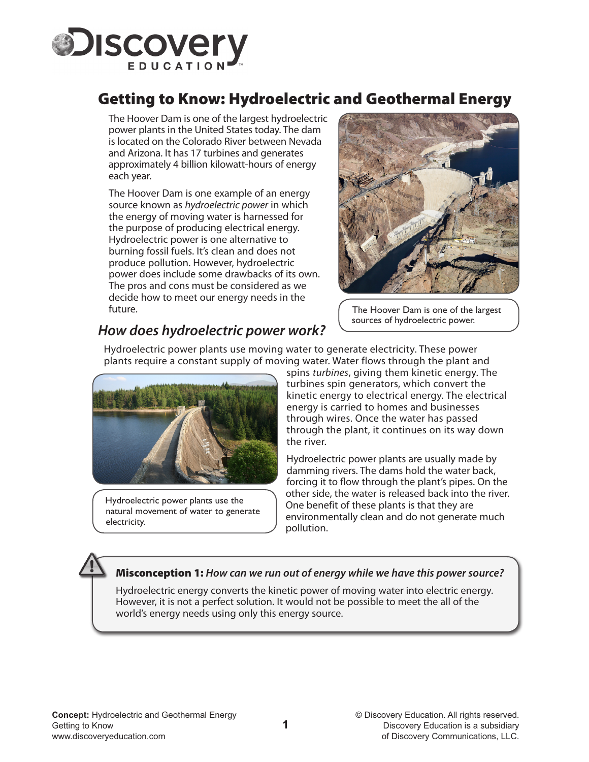

# Getting to Know: Hydroelectric and Geothermal Energy

 The Hoover Dam is one of the largest hydroelectric power plants in the United States today. The dam is located on the Colorado River between Nevada and Arizona. It has 17 turbines and generates approximately 4 billion kilowatt-hours of energy each year.

 The Hoover Dam is one example of an energy source known as *hydroelectric power* in which the energy of moving water is harnessed for the purpose of producing electrical energy. Hydroelectric power is one alternative to burning fossil fuels. It's clean and does not produce pollution. However, hydroelectric power does include some drawbacks of its own. The pros and cons must be considered as we decide how to meet our energy needs in the future.



 The Hoover Dam is one of the largest sources of hydroelectric power.

## *How does hydroelectric power work?*

Hydroelectric power plants use moving water to generate electricity. These power plants require a constant supply of moving water. Water flows through the plant and



Hydroelectric power plants use the natural movement of water to generate electricity.

spins *turbines*, giving them kinetic energy. The turbines spin generators, which convert the kinetic energy to electrical energy. The electrical energy is carried to homes and businesses through wires. Once the water has passed through the plant, it continues on its way down the river.

Hydroelectric power plants are usually made by damming rivers. The dams hold the water back, forcing it to flow through the plant's pipes. On the other side, the water is released back into the river. One benefit of these plants is that they are environmentally clean and do not generate much pollution.

#### Misconception 1: *How can we run out of energy while we have this power source?*

Hydroelectric energy converts the kinetic power of moving water into electric energy. However, it is not a perfect solution. It would not be possible to meet the all of the world's energy needs using only this energy source.